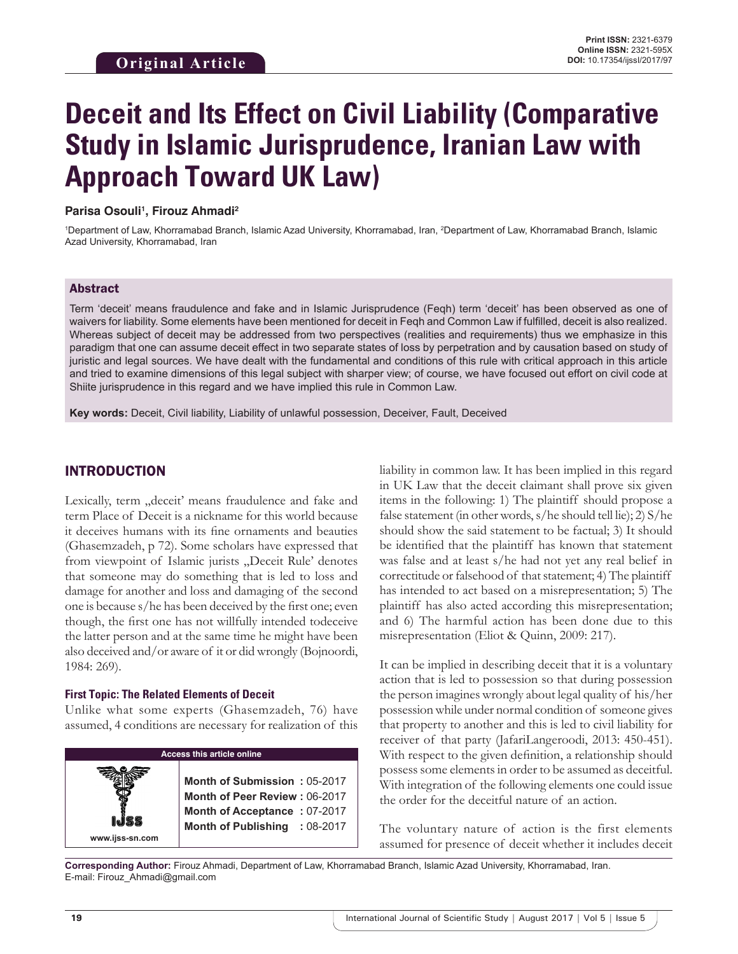# **Deceit and Its Effect on Civil Liability (Comparative Study in Islamic Jurisprudence, Iranian Law with Approach Toward UK Law)**

#### Parisa Osouli<sup>1</sup>, Firouz Ahmadi<sup>2</sup>

<sup>1</sup>Department of Law, Khorramabad Branch, Islamic Azad University, Khorramabad, Iran, <sup>2</sup>Department of Law, Khorramabad Branch, Islamic Azad University, Khorramabad, Iran

#### Abstract

Term 'deceit' means fraudulence and fake and in Islamic Jurisprudence (Feqh) term 'deceit' has been observed as one of waivers for liability. Some elements have been mentioned for deceit in Feqh and Common Law if fulfilled, deceit is also realized. Whereas subject of deceit may be addressed from two perspectives (realities and requirements) thus we emphasize in this paradigm that one can assume deceit effect in two separate states of loss by perpetration and by causation based on study of juristic and legal sources. We have dealt with the fundamental and conditions of this rule with critical approach in this article and tried to examine dimensions of this legal subject with sharper view; of course, we have focused out effort on civil code at Shiite jurisprudence in this regard and we have implied this rule in Common Law.

**Key words:** Deceit, Civil liability, Liability of unlawful possession, Deceiver, Fault, Deceived

#### INTRODUCTION

Lexically, term "deceit' means fraudulence and fake and term Place of Deceit is a nickname for this world because it deceives humans with its fine ornaments and beauties (Ghasemzadeh, p 72). Some scholars have expressed that from viewpoint of Islamic jurists "Deceit Rule' denotes that someone may do something that is led to loss and damage for another and loss and damaging of the second one is because s/he has been deceived by the first one; even though, the first one has not willfully intended todeceive the latter person and at the same time he might have been also deceived and/or aware of it or did wrongly (Bojnoordi, 1984: 269).

#### **First Topic: The Related Elements of Deceit**

Unlike what some experts (Ghasemzadeh, 76) have assumed, 4 conditions are necessary for realization of this

| <b>Access this article online</b> |                                                                                                                                       |
|-----------------------------------|---------------------------------------------------------------------------------------------------------------------------------------|
| www.ijss-sn.com                   | <b>Month of Submission: 05-2017</b><br>Month of Peer Review: 06-2017<br>Month of Acceptance: 07-2017<br>Month of Publishing : 08-2017 |

liability in common law. It has been implied in this regard in UK Law that the deceit claimant shall prove six given items in the following: 1) The plaintiff should propose a false statement (in other words, s/he should tell lie); 2) S/he should show the said statement to be factual; 3) It should be identified that the plaintiff has known that statement was false and at least s/he had not yet any real belief in correctitude or falsehood of that statement; 4) The plaintiff has intended to act based on a misrepresentation; 5) The plaintiff has also acted according this misrepresentation; and 6) The harmful action has been done due to this misrepresentation (Eliot & Quinn, 2009: 217).

It can be implied in describing deceit that it is a voluntary action that is led to possession so that during possession the person imagines wrongly about legal quality of his/her possession while under normal condition of someone gives that property to another and this is led to civil liability for receiver of that party (JafariLangeroodi, 2013: 450-451). With respect to the given definition, a relationship should possess some elements in order to be assumed as deceitful. With integration of the following elements one could issue the order for the deceitful nature of an action.

The voluntary nature of action is the first elements assumed for presence of deceit whether it includes deceit

**Corresponding Author:** Firouz Ahmadi, Department of Law, Khorramabad Branch, Islamic Azad University, Khorramabad, Iran. E-mail: Firouz\_Ahmadi@gmail.com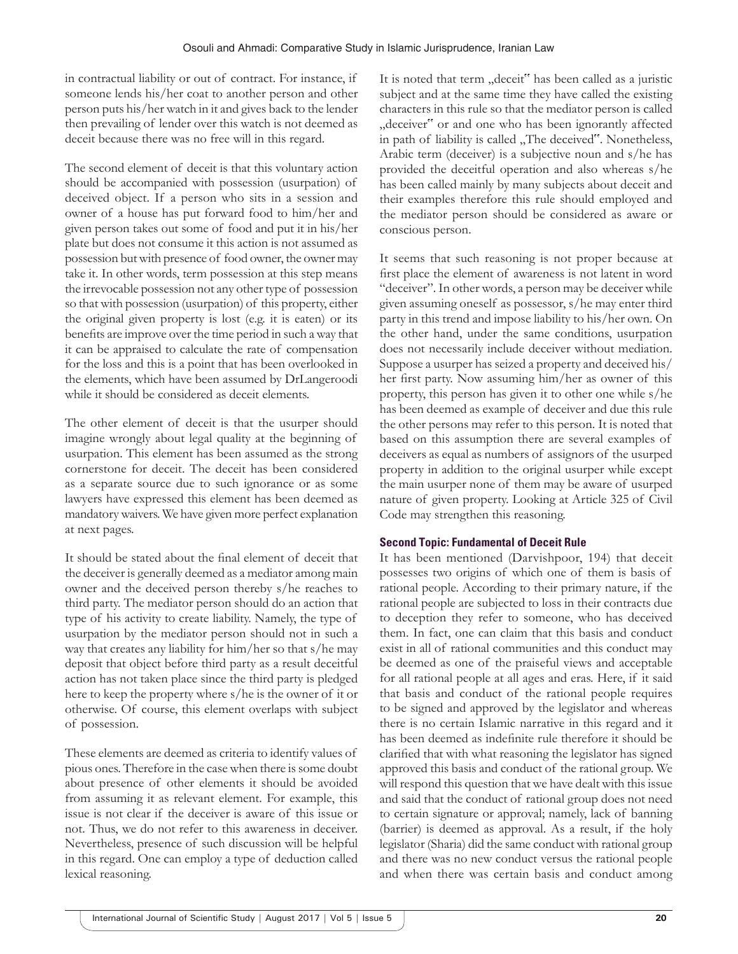in contractual liability or out of contract. For instance, if someone lends his/her coat to another person and other person puts his/her watch in it and gives back to the lender then prevailing of lender over this watch is not deemed as deceit because there was no free will in this regard.

The second element of deceit is that this voluntary action should be accompanied with possession (usurpation) of deceived object. If a person who sits in a session and owner of a house has put forward food to him/her and given person takes out some of food and put it in his/her plate but does not consume it this action is not assumed as possession but with presence of food owner, the owner may take it. In other words, term possession at this step means the irrevocable possession not any other type of possession so that with possession (usurpation) of this property, either the original given property is lost (e.g. it is eaten) or its benefits are improve over the time period in such a way that it can be appraised to calculate the rate of compensation for the loss and this is a point that has been overlooked in the elements, which have been assumed by DrLangeroodi while it should be considered as deceit elements.

The other element of deceit is that the usurper should imagine wrongly about legal quality at the beginning of usurpation. This element has been assumed as the strong cornerstone for deceit. The deceit has been considered as a separate source due to such ignorance or as some lawyers have expressed this element has been deemed as mandatory waivers. We have given more perfect explanation at next pages.

It should be stated about the final element of deceit that the deceiver is generally deemed as a mediator among main owner and the deceived person thereby s/he reaches to third party. The mediator person should do an action that type of his activity to create liability. Namely, the type of usurpation by the mediator person should not in such a way that creates any liability for him/her so that s/he may deposit that object before third party as a result deceitful action has not taken place since the third party is pledged here to keep the property where s/he is the owner of it or otherwise. Of course, this element overlaps with subject of possession.

These elements are deemed as criteria to identify values of pious ones. Therefore in the case when there is some doubt about presence of other elements it should be avoided from assuming it as relevant element. For example, this issue is not clear if the deceiver is aware of this issue or not. Thus, we do not refer to this awareness in deceiver. Nevertheless, presence of such discussion will be helpful in this regard. One can employ a type of deduction called lexical reasoning.

It is noted that term "deceit" has been called as a juristic subject and at the same time they have called the existing characters in this rule so that the mediator person is called "deceiver" or and one who has been ignorantly affected in path of liability is called "The deceived". Nonetheless, Arabic term (deceiver) is a subjective noun and s/he has provided the deceitful operation and also whereas s/he has been called mainly by many subjects about deceit and their examples therefore this rule should employed and the mediator person should be considered as aware or conscious person.

It seems that such reasoning is not proper because at first place the element of awareness is not latent in word "deceiver". In other words, a person may be deceiver while given assuming oneself as possessor, s/he may enter third party in this trend and impose liability to his/her own. On the other hand, under the same conditions, usurpation does not necessarily include deceiver without mediation. Suppose a usurper has seized a property and deceived his/ her first party. Now assuming him/her as owner of this property, this person has given it to other one while s/he has been deemed as example of deceiver and due this rule the other persons may refer to this person. It is noted that based on this assumption there are several examples of deceivers as equal as numbers of assignors of the usurped property in addition to the original usurper while except the main usurper none of them may be aware of usurped nature of given property. Looking at Article 325 of Civil Code may strengthen this reasoning.

## **Second Topic: Fundamental of Deceit Rule**

It has been mentioned (Darvishpoor, 194) that deceit possesses two origins of which one of them is basis of rational people. According to their primary nature, if the rational people are subjected to loss in their contracts due to deception they refer to someone, who has deceived them. In fact, one can claim that this basis and conduct exist in all of rational communities and this conduct may be deemed as one of the praiseful views and acceptable for all rational people at all ages and eras. Here, if it said that basis and conduct of the rational people requires to be signed and approved by the legislator and whereas there is no certain Islamic narrative in this regard and it has been deemed as indefinite rule therefore it should be clarified that with what reasoning the legislator has signed approved this basis and conduct of the rational group. We will respond this question that we have dealt with this issue and said that the conduct of rational group does not need to certain signature or approval; namely, lack of banning (barrier) is deemed as approval. As a result, if the holy legislator (Sharia) did the same conduct with rational group and there was no new conduct versus the rational people and when there was certain basis and conduct among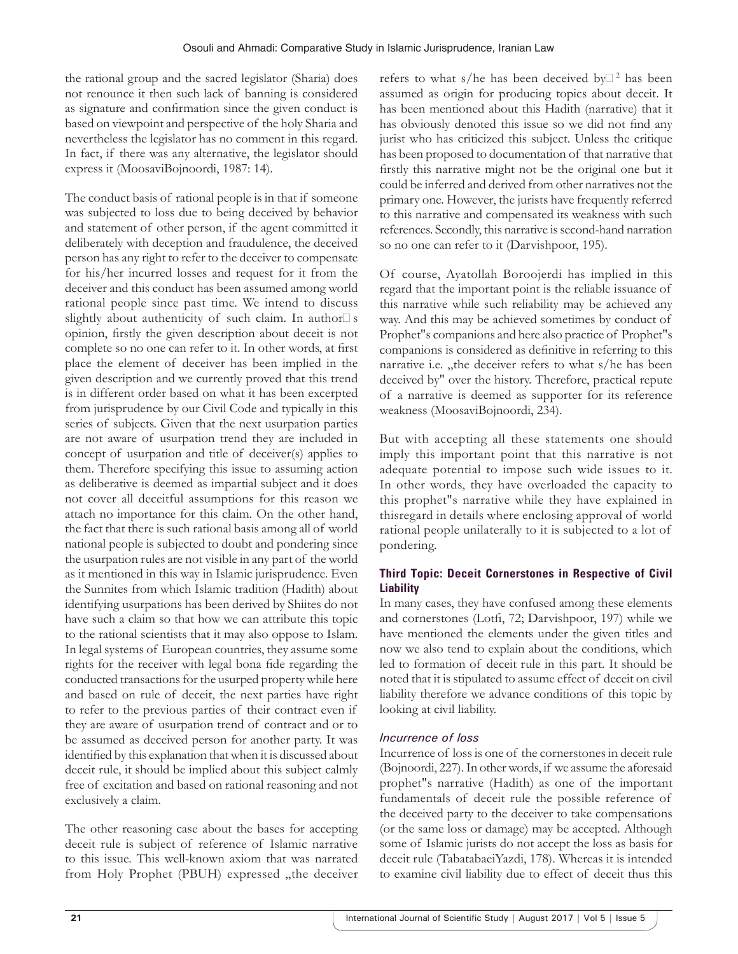the rational group and the sacred legislator (Sharia) does not renounce it then such lack of banning is considered as signature and confirmation since the given conduct is based on viewpoint and perspective of the holy Sharia and nevertheless the legislator has no comment in this regard. In fact, if there was any alternative, the legislator should express it (MoosaviBojnoordi, 1987: 14).

The conduct basis of rational people is in that if someone was subjected to loss due to being deceived by behavior and statement of other person, if the agent committed it deliberately with deception and fraudulence, the deceived person has any right to refer to the deceiver to compensate for his/her incurred losses and request for it from the deceiver and this conduct has been assumed among world rational people since past time. We intend to discuss slightly about authenticity of such claim. In author $\Box$  s opinion, firstly the given description about deceit is not complete so no one can refer to it. In other words, at first place the element of deceiver has been implied in the given description and we currently proved that this trend is in different order based on what it has been excerpted from jurisprudence by our Civil Code and typically in this series of subjects. Given that the next usurpation parties are not aware of usurpation trend they are included in concept of usurpation and title of deceiver(s) applies to them. Therefore specifying this issue to assuming action as deliberative is deemed as impartial subject and it does not cover all deceitful assumptions for this reason we attach no importance for this claim. On the other hand, the fact that there is such rational basis among all of world national people is subjected to doubt and pondering since the usurpation rules are not visible in any part of the world as it mentioned in this way in Islamic jurisprudence. Even the Sunnites from which Islamic tradition (Hadith) about identifying usurpations has been derived by Shiites do not have such a claim so that how we can attribute this topic to the rational scientists that it may also oppose to Islam. In legal systems of European countries, they assume some rights for the receiver with legal bona fide regarding the conducted transactions for the usurped property while here and based on rule of deceit, the next parties have right to refer to the previous parties of their contract even if they are aware of usurpation trend of contract and or to be assumed as deceived person for another party. It was identified by this explanation that when it is discussed about deceit rule, it should be implied about this subject calmly free of excitation and based on rational reasoning and not exclusively a claim.

The other reasoning case about the bases for accepting deceit rule is subject of reference of Islamic narrative to this issue. This well-known axiom that was narrated from Holy Prophet (PBUH) expressed "the deceiver

refers to what s/he has been deceived by $\Box$ <sup>2</sup> has been assumed as origin for producing topics about deceit. It has been mentioned about this Hadith (narrative) that it has obviously denoted this issue so we did not find any jurist who has criticized this subject. Unless the critique has been proposed to documentation of that narrative that firstly this narrative might not be the original one but it could be inferred and derived from other narratives not the primary one. However, the jurists have frequently referred to this narrative and compensated its weakness with such references. Secondly, this narrative is second-hand narration so no one can refer to it (Darvishpoor, 195).

Of course, Ayatollah Boroojerdi has implied in this regard that the important point is the reliable issuance of this narrative while such reliability may be achieved any way. And this may be achieved sometimes by conduct of Prophet"s companions and here also practice of Prophet"s companions is considered as definitive in referring to this narrative i.e. "the deceiver refers to what s/he has been deceived by" over the history. Therefore, practical repute of a narrative is deemed as supporter for its reference weakness (MoosaviBojnoordi, 234).

But with accepting all these statements one should imply this important point that this narrative is not adequate potential to impose such wide issues to it. In other words, they have overloaded the capacity to this prophet"s narrative while they have explained in thisregard in details where enclosing approval of world rational people unilaterally to it is subjected to a lot of pondering.

# **Third Topic: Deceit Cornerstones in Respective of Civil Liability**

In many cases, they have confused among these elements and cornerstones (Lotfi, 72; Darvishpoor, 197) while we have mentioned the elements under the given titles and now we also tend to explain about the conditions, which led to formation of deceit rule in this part. It should be noted that it is stipulated to assume effect of deceit on civil liability therefore we advance conditions of this topic by looking at civil liability.

# *Incurrence of loss*

Incurrence of loss is one of the cornerstones in deceit rule (Bojnoordi, 227). In other words, if we assume the aforesaid prophet"s narrative (Hadith) as one of the important fundamentals of deceit rule the possible reference of the deceived party to the deceiver to take compensations (or the same loss or damage) may be accepted. Although some of Islamic jurists do not accept the loss as basis for deceit rule (TabatabaeiYazdi, 178). Whereas it is intended to examine civil liability due to effect of deceit thus this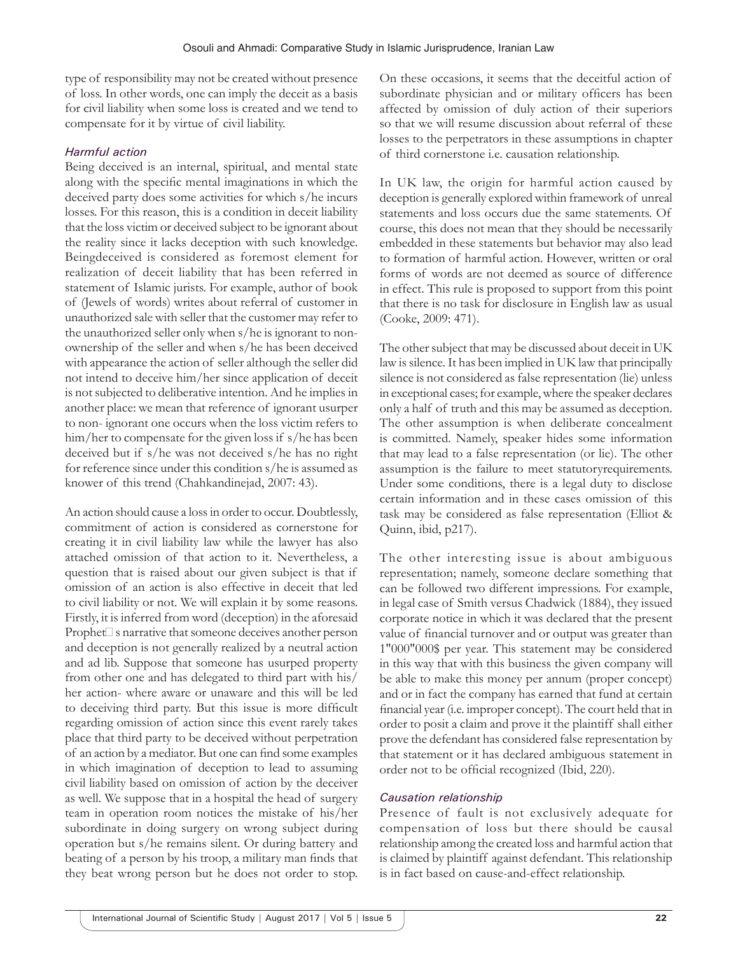type of responsibility may not be created without presence of loss. In other words, one can imply the deceit as a basis for civil liability when some loss is created and we tend to compensate for it by virtue of civil liability.

# *Harmful action*

Being deceived is an internal, spiritual, and mental state along with the specific mental imaginations in which the deceived party does some activities for which s/he incurs losses. For this reason, this is a condition in deceit liability that the loss victim or deceived subject to be ignorant about the reality since it lacks deception with such knowledge. Beingdeceived is considered as foremost element for realization of deceit liability that has been referred in statement of Islamic jurists. For example, author of book of (Jewels of words) writes about referral of customer in unauthorized sale with seller that the customer may refer to the unauthorized seller only when s/he is ignorant to nonownership of the seller and when s/he has been deceived with appearance the action of seller although the seller did not intend to deceive him/her since application of deceit is not subjected to deliberative intention. And he implies in another place: we mean that reference of ignorant usurper to non- ignorant one occurs when the loss victim refers to him/her to compensate for the given loss if s/he has been deceived but if s/he was not deceived s/he has no right for reference since under this condition s/he is assumed as knower of this trend (Chahkandinejad, 2007: 43).

An action should cause a loss in order to occur. Doubtlessly, commitment of action is considered as cornerstone for creating it in civil liability law while the lawyer has also attached omission of that action to it. Nevertheless, a question that is raised about our given subject is that if omission of an action is also effective in deceit that led to civil liability or not. We will explain it by some reasons. Firstly, it is inferred from word (deception) in the aforesaid  $Prophet\mathcal{S}$  s narrative that someone deceives another person and deception is not generally realized by a neutral action and ad lib. Suppose that someone has usurped property from other one and has delegated to third part with his/ her action- where aware or unaware and this will be led to deceiving third party. But this issue is more difficult regarding omission of action since this event rarely takes place that third party to be deceived without perpetration of an action by a mediator. But one can find some examples in which imagination of deception to lead to assuming civil liability based on omission of action by the deceiver as well. We suppose that in a hospital the head of surgery team in operation room notices the mistake of his/her subordinate in doing surgery on wrong subject during operation but s/he remains silent. Or during battery and beating of a person by his troop, a military man finds that they beat wrong person but he does not order to stop.

On these occasions, it seems that the deceitful action of subordinate physician and or military officers has been affected by omission of duly action of their superiors so that we will resume discussion about referral of these losses to the perpetrators in these assumptions in chapter of third cornerstone i.e. causation relationship.

In UK law, the origin for harmful action caused by deception is generally explored within framework of unreal statements and loss occurs due the same statements. Of course, this does not mean that they should be necessarily embedded in these statements but behavior may also lead to formation of harmful action. However, written or oral forms of words are not deemed as source of difference in effect. This rule is proposed to support from this point that there is no task for disclosure in English law as usual (Cooke, 2009: 471).

The other subject that may be discussed about deceit in UK law is silence. It has been implied in UK law that principally silence is not considered as false representation (lie) unless in exceptional cases; for example, where the speaker declares only a half of truth and this may be assumed as deception. The other assumption is when deliberate concealment is committed. Namely, speaker hides some information that may lead to a false representation (or lie). The other assumption is the failure to meet statutoryrequirements. Under some conditions, there is a legal duty to disclose certain information and in these cases omission of this task may be considered as false representation (Elliot & Quinn, ibid, p217).

The other interesting issue is about ambiguous representation; namely, someone declare something that can be followed two different impressions. For example, in legal case of Smith versus Chadwick (1884), they issued corporate notice in which it was declared that the present value of financial turnover and or output was greater than 1"000"000\$ per year. This statement may be considered in this way that with this business the given company will be able to make this money per annum (proper concept) and or in fact the company has earned that fund at certain financial year (i.e. improper concept). The court held that in order to posit a claim and prove it the plaintiff shall either prove the defendant has considered false representation by that statement or it has declared ambiguous statement in order not to be official recognized (Ibid, 220).

## *Causation relationship*

Presence of fault is not exclusively adequate for compensation of loss but there should be causal relationship among the created loss and harmful action that is claimed by plaintiff against defendant. This relationship is in fact based on cause-and-effect relationship.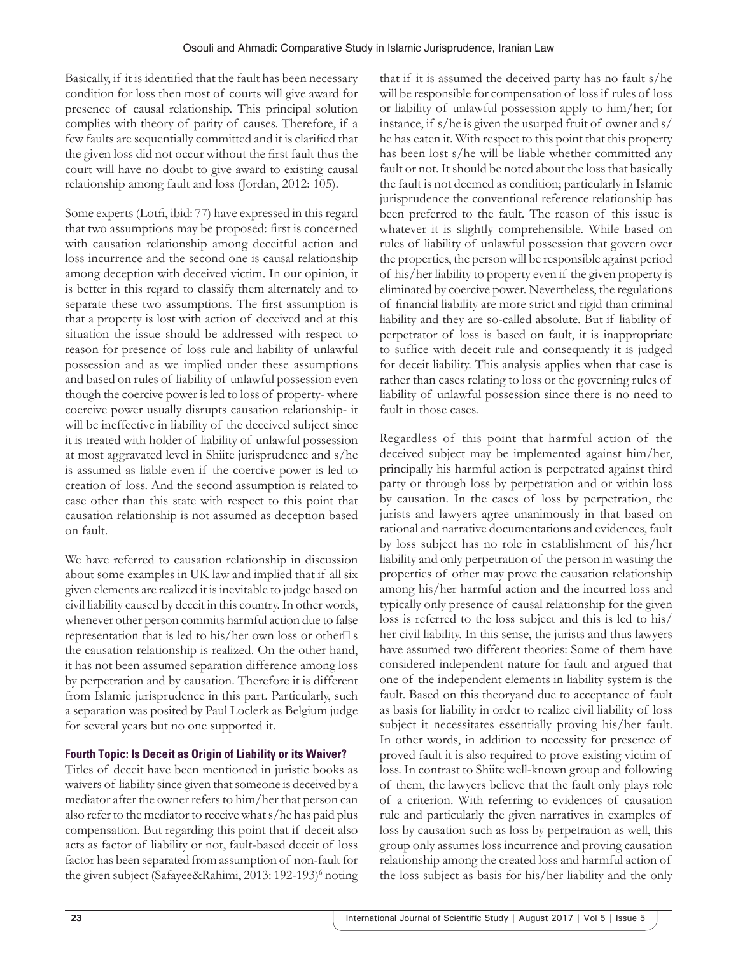Basically, if it is identified that the fault has been necessary condition for loss then most of courts will give award for presence of causal relationship. This principal solution complies with theory of parity of causes. Therefore, if a few faults are sequentially committed and it is clarified that the given loss did not occur without the first fault thus the court will have no doubt to give award to existing causal relationship among fault and loss (Jordan, 2012: 105).

Some experts (Lotfi, ibid: 77) have expressed in this regard that two assumptions may be proposed: first is concerned with causation relationship among deceitful action and loss incurrence and the second one is causal relationship among deception with deceived victim. In our opinion, it is better in this regard to classify them alternately and to separate these two assumptions. The first assumption is that a property is lost with action of deceived and at this situation the issue should be addressed with respect to reason for presence of loss rule and liability of unlawful possession and as we implied under these assumptions and based on rules of liability of unlawful possession even though the coercive power is led to loss of property- where coercive power usually disrupts causation relationship- it will be ineffective in liability of the deceived subject since it is treated with holder of liability of unlawful possession at most aggravated level in Shiite jurisprudence and s/he is assumed as liable even if the coercive power is led to creation of loss. And the second assumption is related to case other than this state with respect to this point that causation relationship is not assumed as deception based on fault.

We have referred to causation relationship in discussion about some examples in UK law and implied that if all six given elements are realized it is inevitable to judge based on civil liability caused by deceit in this country. In other words, whenever other person commits harmful action due to false representation that is led to his/her own loss or other $\Box$  s the causation relationship is realized. On the other hand, it has not been assumed separation difference among loss by perpetration and by causation. Therefore it is different from Islamic jurisprudence in this part. Particularly, such a separation was posited by Paul Loclerk as Belgium judge for several years but no one supported it.

# **Fourth Topic: Is Deceit as Origin of Liability or its Waiver?**

Titles of deceit have been mentioned in juristic books as waivers of liability since given that someone is deceived by a mediator after the owner refers to him/her that person can also refer to the mediator to receive what s/he has paid plus compensation. But regarding this point that if deceit also acts as factor of liability or not, fault-based deceit of loss factor has been separated from assumption of non-fault for the given subject (Safayee&Rahimi, 2013: 192-193)<sup>6</sup> noting that if it is assumed the deceived party has no fault s/he will be responsible for compensation of loss if rules of loss or liability of unlawful possession apply to him/her; for instance, if s/he is given the usurped fruit of owner and s/ he has eaten it. With respect to this point that this property has been lost s/he will be liable whether committed any fault or not. It should be noted about the loss that basically the fault is not deemed as condition; particularly in Islamic jurisprudence the conventional reference relationship has been preferred to the fault. The reason of this issue is whatever it is slightly comprehensible. While based on rules of liability of unlawful possession that govern over the properties, the person will be responsible against period of his/her liability to property even if the given property is eliminated by coercive power. Nevertheless, the regulations of financial liability are more strict and rigid than criminal liability and they are so-called absolute. But if liability of perpetrator of loss is based on fault, it is inappropriate to suffice with deceit rule and consequently it is judged for deceit liability. This analysis applies when that case is rather than cases relating to loss or the governing rules of liability of unlawful possession since there is no need to fault in those cases.

Regardless of this point that harmful action of the deceived subject may be implemented against him/her, principally his harmful action is perpetrated against third party or through loss by perpetration and or within loss by causation. In the cases of loss by perpetration, the jurists and lawyers agree unanimously in that based on rational and narrative documentations and evidences, fault by loss subject has no role in establishment of his/her liability and only perpetration of the person in wasting the properties of other may prove the causation relationship among his/her harmful action and the incurred loss and typically only presence of causal relationship for the given loss is referred to the loss subject and this is led to his/ her civil liability. In this sense, the jurists and thus lawyers have assumed two different theories: Some of them have considered independent nature for fault and argued that one of the independent elements in liability system is the fault. Based on this theoryand due to acceptance of fault as basis for liability in order to realize civil liability of loss subject it necessitates essentially proving his/her fault. In other words, in addition to necessity for presence of proved fault it is also required to prove existing victim of loss. In contrast to Shiite well-known group and following of them, the lawyers believe that the fault only plays role of a criterion. With referring to evidences of causation rule and particularly the given narratives in examples of loss by causation such as loss by perpetration as well, this group only assumes loss incurrence and proving causation relationship among the created loss and harmful action of the loss subject as basis for his/her liability and the only